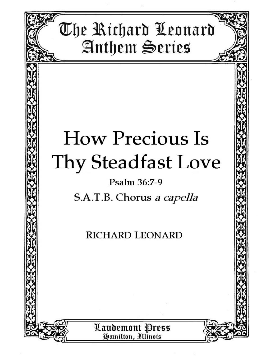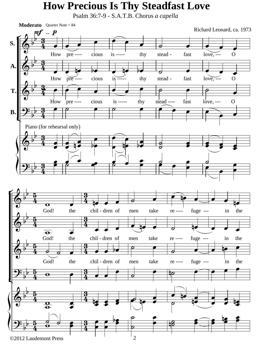## **How Precious Is Thy Steadfast Love**

Psalm 36:7-9 - S.A.T.B. Chorus *a capella*

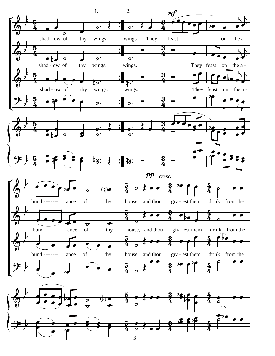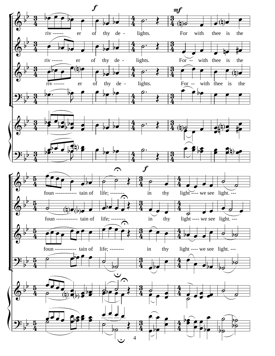